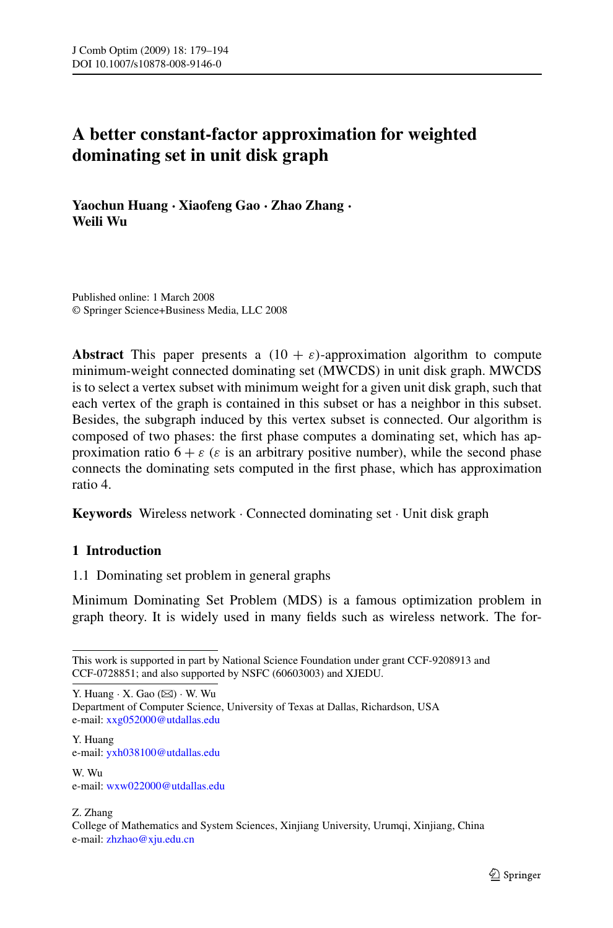# **A better constant-factor approximation for weighted dominating set in unit disk graph**

**Yaochun Huang · Xiaofeng Gao · Zhao Zhang · Weili Wu**

Published online: 1 March 2008 © Springer Science+Business Media, LLC 2008

**Abstract** This paper presents a  $(10 + \varepsilon)$ -approximation algorithm to compute minimum-weight connected dominating set (MWCDS) in unit disk graph. MWCDS is to select a vertex subset with minimum weight for a given unit disk graph, such that each vertex of the graph is contained in this subset or has a neighbor in this subset. Besides, the subgraph induced by this vertex subset is connected. Our algorithm is composed of two phases: the first phase computes a dominating set, which has approximation ratio  $6 + \varepsilon$  ( $\varepsilon$  is an arbitrary positive number), while the second phase connects the dominating sets computed in the first phase, which has approximation ratio 4.

**Keywords** Wireless network · Connected dominating set · Unit disk graph

## **1 Introduction**

1.1 Dominating set problem in general graphs

Minimum Dominating Set Problem (MDS) is a famous optimization problem in graph theory. It is widely used in many fields such as wireless network. The for-

Y. Huang  $\cdot$  X. Gao ( $\boxtimes$ )  $\cdot$  W. Wu Department of Computer Science, University of Texas at Dallas, Richardson, USA e-mail: [xxg052000@utdallas.edu](mailto:xxg052000@utdallas.edu)

Y. Huang e-mail: [yxh038100@utdallas.edu](mailto:yxh038100@utdallas.edu)

W. Wu e-mail: [wxw022000@utdallas.edu](mailto:wxw022000@utdallas.edu)

Z. Zhang

This work is supported in part by National Science Foundation under grant CCF-9208913 and CCF-0728851; and also supported by NSFC (60603003) and XJEDU.

College of Mathematics and System Sciences, Xinjiang University, Urumqi, Xinjiang, China e-mail: [zhzhao@xju.edu.cn](mailto:zhzhao@xju.edu.cn)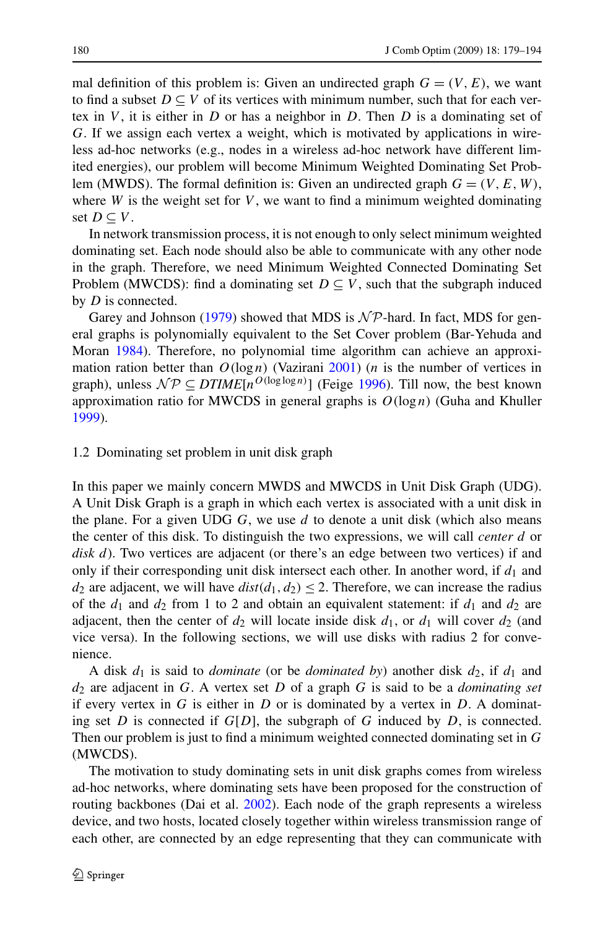mal definition of this problem is: Given an undirected graph  $G = (V, E)$ , we want to find a subset  $D \subseteq V$  of its vertices with minimum number, such that for each vertex in *V* , it is either in *D* or has a neighbor in *D*. Then *D* is a dominating set of *G*. If we assign each vertex a weight, which is motivated by applications in wireless ad-hoc networks (e.g., nodes in a wireless ad-hoc network have different limited energies), our problem will become Minimum Weighted Dominating Set Problem (MWDS). The formal definition is: Given an undirected graph  $G = (V, E, W)$ , where  $W$  is the weight set for  $V$ , we want to find a minimum weighted dominating set *D* ⊂ *V*.

In network transmission process, it is not enough to only select minimum weighted dominating set. Each node should also be able to communicate with any other node in the graph. Therefore, we need Minimum Weighted Connected Dominating Set Problem (MWCDS): find a dominating set  $D \subseteq V$ , such that the subgraph induced by *D* is connected.

Garey and Johnson ([1979\)](#page-15-0) showed that MDS is  $N\mathcal{P}$ -hard. In fact, MDS for general graphs is polynomially equivalent to the Set Cover problem (Bar-Yehuda and Moran [1984\)](#page-15-0). Therefore, no polynomial time algorithm can achieve an approximation ration better than  $O(\log n)$  (Vazirani [2001\)](#page-15-0) (*n* is the number of vertices in graph), unless  $N \mathcal{P} \subseteq DTIME[n^{O(\log \log n)}]$  (Feige [1996\)](#page-15-0). Till now, the best known approximation ratio for MWCDS in general graphs is  $O(\log n)$  (Guha and Khuller [1999\)](#page-15-0).

#### 1.2 Dominating set problem in unit disk graph

In this paper we mainly concern MWDS and MWCDS in Unit Disk Graph (UDG). A Unit Disk Graph is a graph in which each vertex is associated with a unit disk in the plane. For a given UDG *G*, we use *d* to denote a unit disk (which also means the center of this disk. To distinguish the two expressions, we will call *center d* or *disk d*). Two vertices are adjacent (or there's an edge between two vertices) if and only if their corresponding unit disk intersect each other. In another word, if *d*<sup>1</sup> and *d*<sub>2</sub> are adjacent, we will have  $dist(d_1, d_2) \leq 2$ . Therefore, we can increase the radius of the  $d_1$  and  $d_2$  from 1 to 2 and obtain an equivalent statement: if  $d_1$  and  $d_2$  are adjacent, then the center of  $d_2$  will locate inside disk  $d_1$ , or  $d_1$  will cover  $d_2$  (and vice versa). In the following sections, we will use disks with radius 2 for convenience.

A disk  $d_1$  is said to *dominate* (or be *dominated by*) another disk  $d_2$ , if  $d_1$  and *d*<sup>2</sup> are adjacent in *G*. A vertex set *D* of a graph *G* is said to be a *dominating set* if every vertex in  $G$  is either in  $D$  or is dominated by a vertex in  $D$ . A dominating set *D* is connected if  $G[D]$ , the subgraph of *G* induced by *D*, is connected. Then our problem is just to find a minimum weighted connected dominating set in *G* (MWCDS).

The motivation to study dominating sets in unit disk graphs comes from wireless ad-hoc networks, where dominating sets have been proposed for the construction of routing backbones (Dai et al. [2002\)](#page-15-0). Each node of the graph represents a wireless device, and two hosts, located closely together within wireless transmission range of each other, are connected by an edge representing that they can communicate with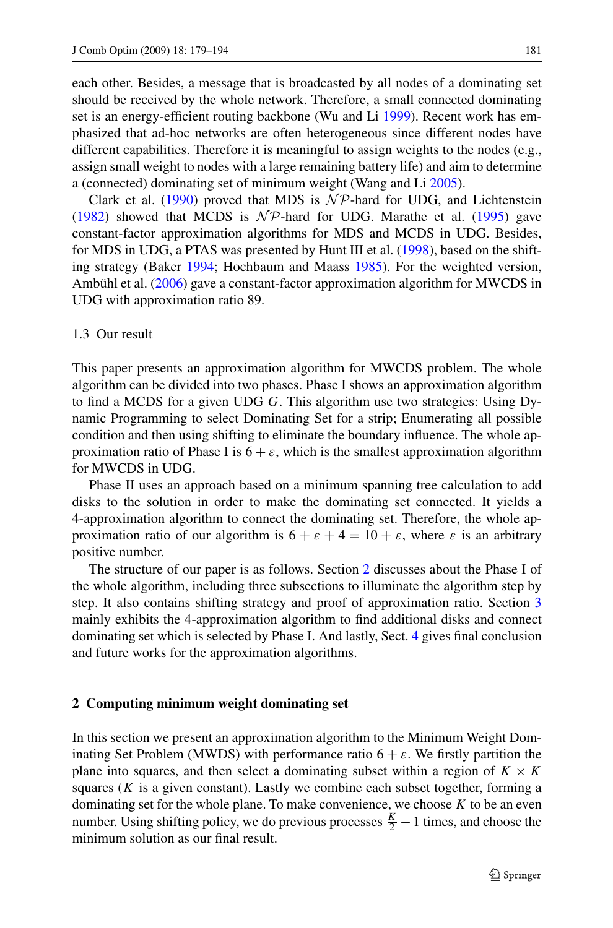each other. Besides, a message that is broadcasted by all nodes of a dominating set should be received by the whole network. Therefore, a small connected dominating set is an energy-efficient routing backbone (Wu and Li [1999\)](#page-15-0). Recent work has emphasized that ad-hoc networks are often heterogeneous since different nodes have different capabilities. Therefore it is meaningful to assign weights to the nodes (e.g., assign small weight to nodes with a large remaining battery life) and aim to determine a (connected) dominating set of minimum weight (Wang and Li [2005](#page-15-0)).

Clark et al. ([1990\)](#page-15-0) proved that MDS is  $N \mathcal{P}$ -hard for UDG, and Lichtenstein [\(1982](#page-15-0)) showed that MCDS is  $N \mathcal{P}$ -hard for UDG. Marathe et al. ([1995\)](#page-15-0) gave constant-factor approximation algorithms for MDS and MCDS in UDG. Besides, for MDS in UDG, a PTAS was presented by Hunt III et al. ([1998\)](#page-15-0), based on the shifting strategy (Baker [1994;](#page-15-0) Hochbaum and Maass [1985](#page-15-0)). For the weighted version, Ambühl et al. [\(2006](#page-15-0)) gave a constant-factor approximation algorithm for MWCDS in UDG with approximation ratio 89.

#### 1.3 Our result

This paper presents an approximation algorithm for MWCDS problem. The whole algorithm can be divided into two phases. Phase I shows an approximation algorithm to find a MCDS for a given UDG *G*. This algorithm use two strategies: Using Dynamic Programming to select Dominating Set for a strip; Enumerating all possible condition and then using shifting to eliminate the boundary influence. The whole approximation ratio of Phase I is  $6 + \varepsilon$ , which is the smallest approximation algorithm for MWCDS in UDG.

Phase II uses an approach based on a minimum spanning tree calculation to add disks to the solution in order to make the dominating set connected. It yields a 4-approximation algorithm to connect the dominating set. Therefore, the whole approximation ratio of our algorithm is  $6 + \varepsilon + 4 = 10 + \varepsilon$ , where  $\varepsilon$  is an arbitrary positive number.

The structure of our paper is as follows. Section 2 discusses about the Phase I of the whole algorithm, including three subsections to illuminate the algorithm step by step. It also contains shifting strategy and proof of approximation ratio. Section [3](#page-10-0) mainly exhibits the 4-approximation algorithm to find additional disks and connect dominating set which is selected by Phase I. And lastly, Sect. [4](#page-14-0) gives final conclusion and future works for the approximation algorithms.

### **2 Computing minimum weight dominating set**

In this section we present an approximation algorithm to the Minimum Weight Dominating Set Problem (MWDS) with performance ratio  $6 + \varepsilon$ . We firstly partition the plane into squares, and then select a dominating subset within a region of  $K \times K$ squares  $(K$  is a given constant). Lastly we combine each subset together, forming a dominating set for the whole plane. To make convenience, we choose *K* to be an even number. Using shifting policy, we do previous processes  $\frac{K}{2} - 1$  times, and choose the minimum solution as our final result.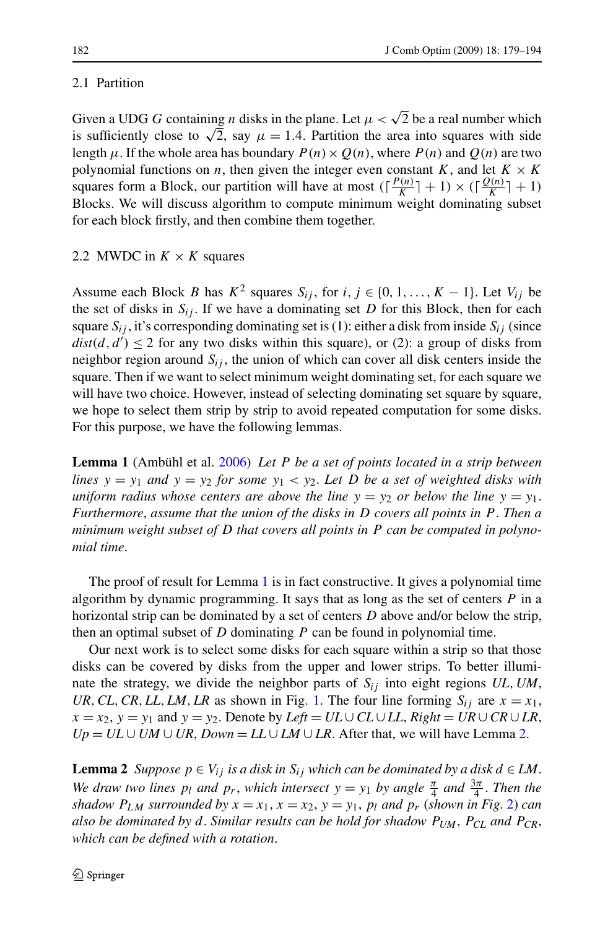### <span id="page-3-0"></span>2.1 Partition

Given a UDG *G* containing *n* disks in the plane. Let  $\mu < \sqrt{2}$  be a real number which is sufficiently close to  $\sqrt{2}$ , say  $\mu = 1.4$ . Partition the area into squares with side length  $\mu$ . If the whole area has boundary  $P(n) \times Q(n)$ , where  $P(n)$  and  $Q(n)$  are two polynomial functions on *n*, then given the integer even constant *K*, and let  $K \times K$ squares form a Block, our partition will have at most  $(\frac{P(n)}{K} + 1) \times (\frac{Q(n)}{K} + 1)$ Blocks. We will discuss algorithm to compute minimum weight dominating subset for each block firstly, and then combine them together.

## 2.2 MWDC in  $K \times K$  squares

Assume each Block *B* has  $K^2$  squares  $S_{ij}$ , for  $i, j \in \{0, 1, ..., K - 1\}$ . Let  $V_{ij}$  be the set of disks in  $S_{ij}$ . If we have a dominating set *D* for this Block, then for each square  $S_{ij}$ , it's corresponding dominating set is (1): either a disk from inside  $S_{ij}$  (since  $dist(d, d') \leq 2$  for any two disks within this square), or (2): a group of disks from neighbor region around  $S_{ij}$ , the union of which can cover all disk centers inside the square. Then if we want to select minimum weight dominating set, for each square we will have two choice. However, instead of selecting dominating set square by square, we hope to select them strip by strip to avoid repeated computation for some disks. For this purpose, we have the following lemmas.

**Lemma 1** (Ambühl et al. [2006\)](#page-15-0) *Let P be a set of points located in a strip between lines*  $y = y_1$  *and*  $y = y_2$  *for some*  $y_1 < y_2$ *. Let D be a set of weighted disks with uniform radius whose centers are above the line*  $y = y_2$  *or below the line*  $y = y_1$ . *Furthermore*, *assume that the union of the disks in D covers all points in P* . *Then a minimum weight subset of D that covers all points in P can be computed in polynomial time*.

The proof of result for Lemma 1 is in fact constructive. It gives a polynomial time algorithm by dynamic programming. It says that as long as the set of centers *P* in a horizontal strip can be dominated by a set of centers *D* above and/or below the strip, then an optimal subset of *D* dominating *P* can be found in polynomial time.

Our next work is to select some disks for each square within a strip so that those disks can be covered by disks from the upper and lower strips. To better illuminate the strategy, we divide the neighbor parts of  $S_{ij}$  into eight regions  $UL$ ,  $UM$ , *UR, CL, CR, LL, LM, LR* as shown in Fig. [1](#page-4-0). The four line forming  $S_{ij}$  are  $x = x_1$ ,  $x = x_2$ ,  $y = y_1$  and  $y = y_2$ . Denote by *Left* = *UL* ∪ *CL* ∪ *LL*, *Right* = *UR* ∪ *CR* ∪ *LR*,  $Up = UL \cup UM \cup UR$ ,  $Down = LL \cup LM \cup LR$ . After that, we will have Lemma 2.

**Lemma 2** *Suppose*  $p \in V_i$  *is a disk in*  $S_i$  *which can be dominated by a disk d* ∈ *LM*. *We draw two lines*  $p_l$  *and*  $p_r$ , *which intersect*  $y = y_1$  *by angle*  $\frac{\pi}{4}$  *and*  $\frac{3\pi}{4}$ *. Then the shadow*  $P_{LM}$  *surrounded by*  $x = x_1, x = x_2, y = y_1, p_l$  $x = x_1, x = x_2, y = y_1, p_l$  $x = x_1, x = x_2, y = y_1, p_l$  *and*  $p_r$  (*shown in Fig. 2*) *can also be dominated by d*. *Similar results can be hold for shadow PUM*, *PCL and PCR*, *which can be defined with a rotation*.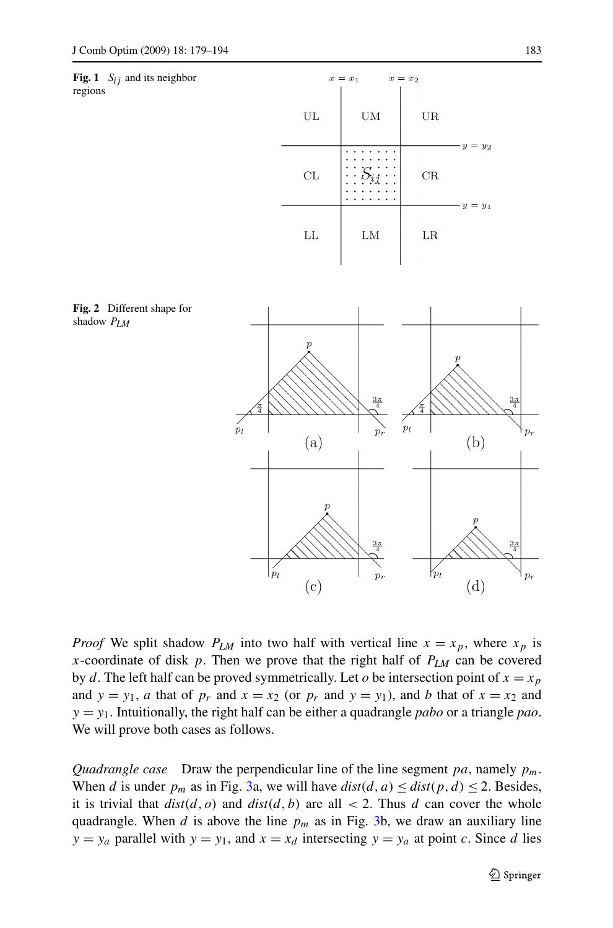<span id="page-4-0"></span>



 $x = x_1$ 

 $x = x_2$ 

**Fig. 2** Different shape for shadow *PLM*

*Proof* We split shadow  $P_{LM}$  into two half with vertical line  $x = x_p$ , where  $x_p$  is *x*-coordinate of disk *p*. Then we prove that the right half of  $P_{LM}$  can be covered by *d*. The left half can be proved symmetrically. Let *o* be intersection point of  $x = x_p$ and  $y = y_1$ , *a* that of  $p_r$  and  $x = x_2$  (or  $p_r$  and  $y = y_1$ ), and *b* that of  $x = x_2$  and *y* = *y*1. Intuitionally, the right half can be either a quadrangle *pabo* or a triangle *pao*. We will prove both cases as follows.

*Quadrangle case* Draw the perpendicular line of the line segment *pa*, namely *pm*. When *d* is under  $p_m$  as in Fig. [3](#page-5-0)a, we will have  $dist(d, a) \leq dist(p, d) \leq 2$ . Besides, it is trivial that  $dist(d, o)$  and  $dist(d, b)$  are all  $\lt 2$ . Thus *d* can cover the whole quadrangle. When *d* is above the line  $p_m$  as in Fig. [3b](#page-5-0), we draw an auxiliary line  $y = y_a$  parallel with  $y = y_1$ , and  $x = x_d$  intersecting  $y = y_a$  at point *c*. Since *d* lies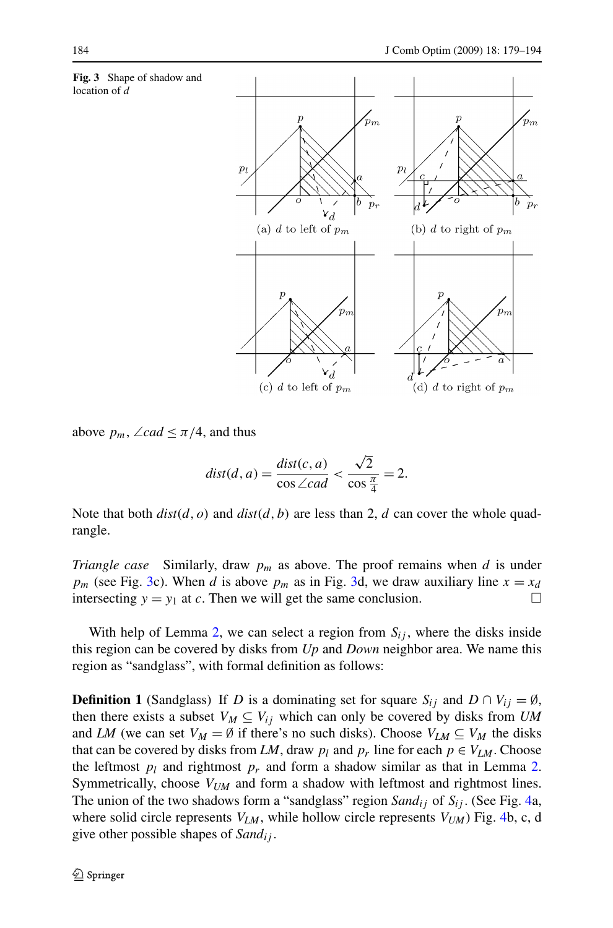<span id="page-5-0"></span>

above  $p_m$ , ∠*cad*  $\leq \pi/4$ , and thus

$$
dist(d, a) = \frac{dist(c, a)}{\cos \angle cad} < \frac{\sqrt{2}}{\cos \frac{\pi}{4}} = 2.
$$

Note that both  $dist(d, o)$  and  $dist(d, b)$  are less than 2, *d* can cover the whole quadrangle.

*Triangle case* Similarly, draw  $p_m$  as above. The proof remains when *d* is under  $p_m$  (see Fig. 3c). When *d* is above  $p_m$  as in Fig. 3d, we draw auxiliary line  $x = x_d$ intersecting  $y = y_1$  at *c*. Then we will get the same conclusion.

With help of Lemma [2](#page-3-0), we can select a region from  $S_{ij}$ , where the disks inside this region can be covered by disks from *Up* and *Down* neighbor area. We name this region as "sandglass", with formal definition as follows:

**Definition 1** (Sandglass) If *D* is a dominating set for square  $S_{ij}$  and  $D \cap V_{ij} = \emptyset$ , then there exists a subset  $V_M \subseteq V_{ij}$  which can only be covered by disks from *UM* and *LM* (we can set  $V_M = \emptyset$  if there's no such disks). Choose  $V_{LM} \subseteq V_M$  the disks that can be covered by disks from *LM*, draw  $p_l$  and  $p_r$  line for each  $p \in V_{LM}$ . Choose the leftmost  $p_l$  and rightmost  $p_r$  and form a shadow similar as that in Lemma [2](#page-3-0). Symmetrically, choose *VUM* and form a shadow with leftmost and rightmost lines. The union of the two shadows form a "sandglass" region *Sandij* of *Sij* . (See Fig. [4a](#page-6-0), where solid circle represents  $V_{LM}$ , while hollow circle represents  $V_{UM}$ ) Fig. [4b](#page-6-0), c, d give other possible shapes of *Sandij* .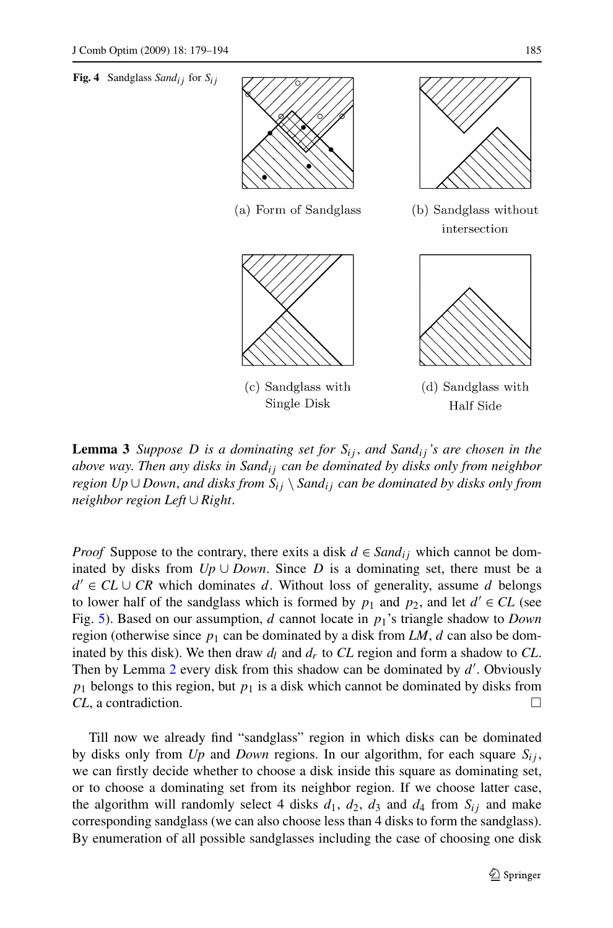<span id="page-6-0"></span>

**Lemma 3** *Suppose D is a dominating set for*  $S_{ij}$ *, and Sand<sub>ij</sub>'s are chosen in the above way*. *Then any disks in Sandij can be dominated by disks only from neighbor region Up* ∪ *Down*, *and disks from Sij* \ *Sandij can be dominated by disks only from neighbor region Left* ∪ *Right*.

*Proof* Suppose to the contrary, there exits a disk  $d \in Sand_{ij}$  which cannot be dominated by disks from  $Up \cup Down$ . Since *D* is a dominating set, there must be a  $d' \in CL \cup CR$  which dominates *d*. Without loss of generality, assume *d* belongs to lower half of the sandglass which is formed by  $p_1$  and  $p_2$ , and let  $d' \in CL$  (see Fig. [5\)](#page-7-0). Based on our assumption, *d* cannot locate in *p*1's triangle shadow to *Down* region (otherwise since  $p_1$  can be dominated by a disk from *LM*, *d* can also be dominated by this disk). We then draw  $d_l$  and  $d_r$  to CL region and form a shadow to CL. Then by Lemma [2](#page-3-0) every disk from this shadow can be dominated by *d* . Obviously  $p_1$  belongs to this region, but  $p_1$  is a disk which cannot be dominated by disks from *CL*, a contradiction. □

Till now we already find "sandglass" region in which disks can be dominated by disks only from  $Up$  and *Down* regions. In our algorithm, for each square  $S_{ij}$ , we can firstly decide whether to choose a disk inside this square as dominating set, or to choose a dominating set from its neighbor region. If we choose latter case, the algorithm will randomly select 4 disks  $d_1$ ,  $d_2$ ,  $d_3$  and  $d_4$  from  $S_{ij}$  and make corresponding sandglass (we can also choose less than 4 disks to form the sandglass). By enumeration of all possible sandglasses including the case of choosing one disk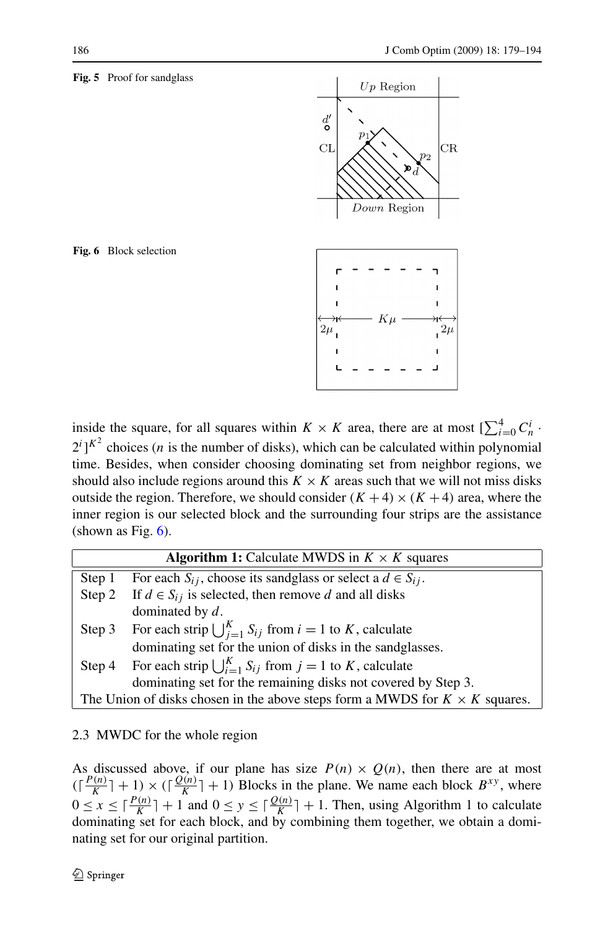#### <span id="page-7-0"></span>**Fig. 5** Proof for sandglass



**Fig. 6** Block selection

inside the square, for all squares within  $K \times K$  area, there are at most  $\left[\sum_{i=0}^{4} C_{n}^{i}\right]$ .  $2^{i}$ ]<sup> $K^{2}$ </sup> choices (*n* is the number of disks), which can be calculated within polynomial time. Besides, when consider choosing dominating set from neighbor regions, we should also include regions around this  $K \times K$  areas such that we will not miss disks outside the region. Therefore, we should consider  $(K + 4) \times (K + 4)$  area, where the inner region is our selected block and the surrounding four strips are the assistance (shown as Fig.  $6$ ).

|                                                                                    | <b>Algorithm 1:</b> Calculate MWDS in $K \times K$ squares                    |  |
|------------------------------------------------------------------------------------|-------------------------------------------------------------------------------|--|
| Step 1                                                                             | For each $S_{ij}$ , choose its sandglass or select a $d \in S_{ij}$ .         |  |
| Step 2                                                                             | If $d \in S_{ij}$ is selected, then remove d and all disks                    |  |
|                                                                                    | dominated by $d$ .                                                            |  |
|                                                                                    | Step 3 For each strip $\bigcup_{i=1}^{K} S_{ij}$ from $i = 1$ to K, calculate |  |
|                                                                                    | dominating set for the union of disks in the sandglasses.                     |  |
|                                                                                    | Step 4 For each strip $\bigcup_{i=1}^{K} S_{ij}$ from $j = 1$ to K, calculate |  |
|                                                                                    | dominating set for the remaining disks not covered by Step 3.                 |  |
| The Union of disks chosen in the above steps form a MWDS for $K \times K$ squares. |                                                                               |  |

## 2.3 MWDC for the whole region

As discussed above, if our plane has size  $P(n) \times Q(n)$ , then there are at most  $(\lceil \frac{P(n)}{K} \rceil + 1) \times (\lceil \frac{Q(n)}{K} \rceil + 1)$  Blocks in the plane. We name each block  $B^{xy}$ , where  $0 \le x \le \lceil \frac{P(n)}{K} \rceil + 1$  and  $0 \le y \le \lceil \frac{Q(n)}{K} \rceil + 1$ . Then, using Algorithm 1 to calculate dominating set for each block, and by combining them together, we obtain a dominating set for our original partition.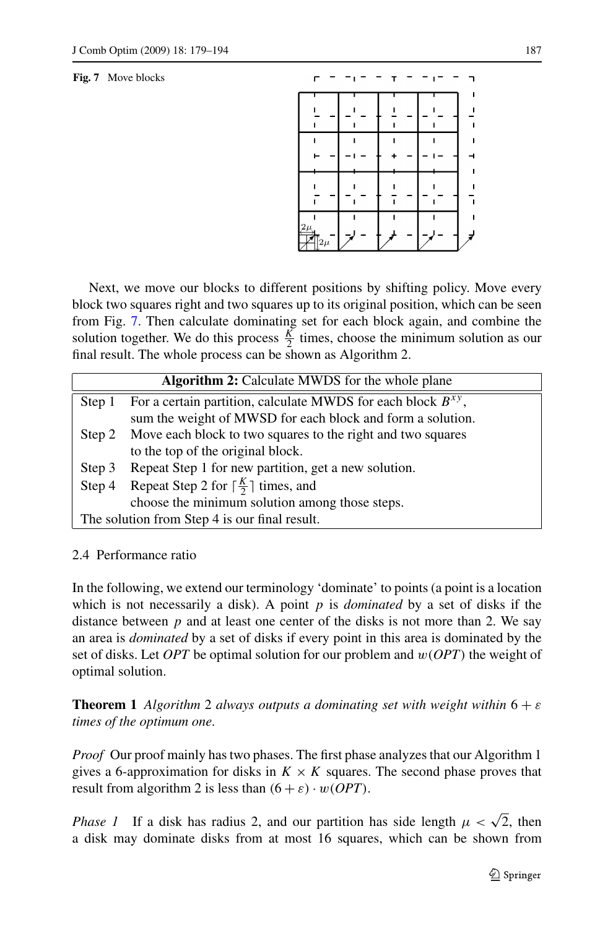#### <span id="page-8-0"></span>**Fig. 7** Move blocks



Next, we move our blocks to different positions by shifting policy. Move every block two squares right and two squares up to its original position, which can be seen from Fig. 7. Then calculate dominating set for each block again, and combine the solution together. We do this process  $\frac{K}{2}$  times, choose the minimum solution as our final result. The whole process can be shown as Algorithm 2.

|                                               | <b>Algorithm 2:</b> Calculate MWDS for the whole plane            |  |
|-----------------------------------------------|-------------------------------------------------------------------|--|
| Step 1                                        | For a certain partition, calculate MWDS for each block $B^{xy}$ , |  |
|                                               | sum the weight of MWSD for each block and form a solution.        |  |
| Step 2                                        | Move each block to two squares to the right and two squares       |  |
|                                               | to the top of the original block.                                 |  |
| Step 3                                        | Repeat Step 1 for new partition, get a new solution.              |  |
| Step 4                                        | Repeat Step 2 for $\lceil \frac{K}{2} \rceil$ times, and          |  |
|                                               | choose the minimum solution among those steps.                    |  |
| The solution from Step 4 is our final result. |                                                                   |  |

## 2.4 Performance ratio

In the following, we extend our terminology 'dominate' to points (a point is a location which is not necessarily a disk). A point *p* is *dominated* by a set of disks if the distance between  $p$  and at least one center of the disks is not more than 2. We say an area is *dominated* by a set of disks if every point in this area is dominated by the set of disks. Let *OPT* be optimal solution for our problem and *w(OPT)* the weight of optimal solution.

**Theorem 1** *Algorithm* 2 *always outputs a dominating set with weight within* 6 + *ε times of the optimum one*.

*Proof* Our proof mainly has two phases. The first phase analyzes that our Algorithm 1 gives a 6-approximation for disks in  $K \times K$  squares. The second phase proves that result from algorithm 2 is less than  $(6 + \varepsilon) \cdot w(OPT)$ .

*Phase 1* If a disk has radius 2, and our partition has side length  $\mu < \sqrt{2}$ , then a disk may dominate disks from at most 16 squares, which can be shown from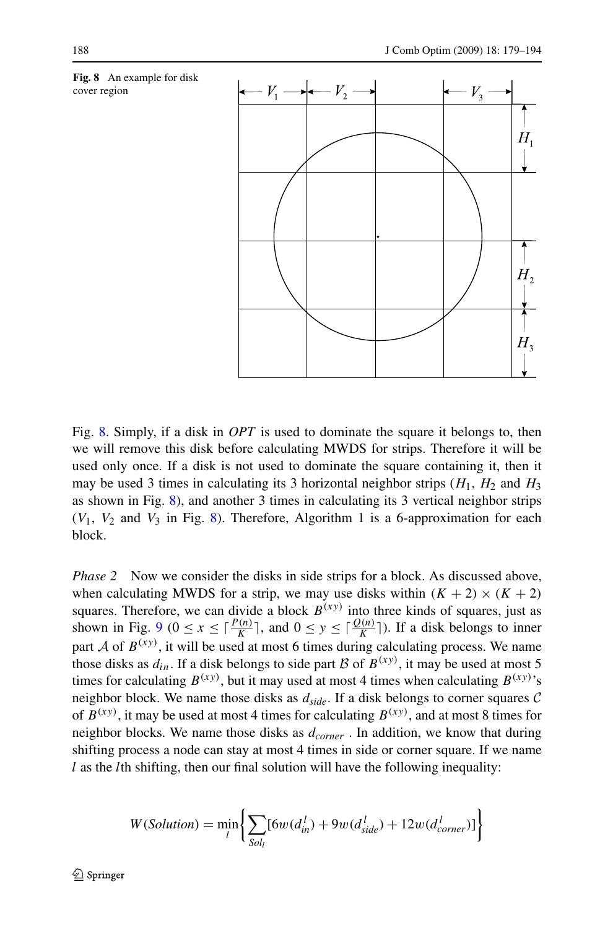

Fig. 8. Simply, if a disk in *OPT* is used to dominate the square it belongs to, then we will remove this disk before calculating MWDS for strips. Therefore it will be used only once. If a disk is not used to dominate the square containing it, then it may be used 3 times in calculating its 3 horizontal neighbor strips  $(H_1, H_2)$  and  $H_3$ as shown in Fig. 8), and another 3 times in calculating its 3 vertical neighbor strips  $(V_1, V_2$  and  $V_3$  in Fig. 8). Therefore, Algorithm 1 is a 6-approximation for each block.

*Phase 2* Now we consider the disks in side strips for a block. As discussed above, when calculating MWDS for a strip, we may use disks within  $(K + 2) \times (K + 2)$ squares. Therefore, we can divide a block  $B^{(xy)}$  into three kinds of squares, just as shown in Fig. [9](#page-10-0) ( $0 \le x \le \lceil \frac{P(n)}{K} \rceil$ , and  $0 \le y \le \lceil \frac{Q(n)}{K} \rceil$ ). If a disk belongs to inner part  $A$  of  $B^{(xy)}$ , it will be used at most 6 times during calculating process. We name those disks as  $d_{in}$ . If a disk belongs to side part B of  $B^{(xy)}$ , it may be used at most 5 times for calculating  $B^{(xy)}$ , but it may used at most 4 times when calculating  $B^{(xy)}$ 's neighbor block. We name those disks as *dside*. If a disk belongs to corner squares C of  $B^{(xy)}$ , it may be used at most 4 times for calculating  $B^{(xy)}$ , and at most 8 times for neighbor blocks. We name those disks as *dcorner* . In addition, we know that during shifting process a node can stay at most 4 times in side or corner square. If we name *l* as the *l*th shifting, then our final solution will have the following inequality:

$$
W(Solution) = \min_{l} \left\{ \sum_{Sol_l} [6w(d_{in}^l) + 9w(d_{side}^l) + 12w(d_{corner}^l)] \right\}
$$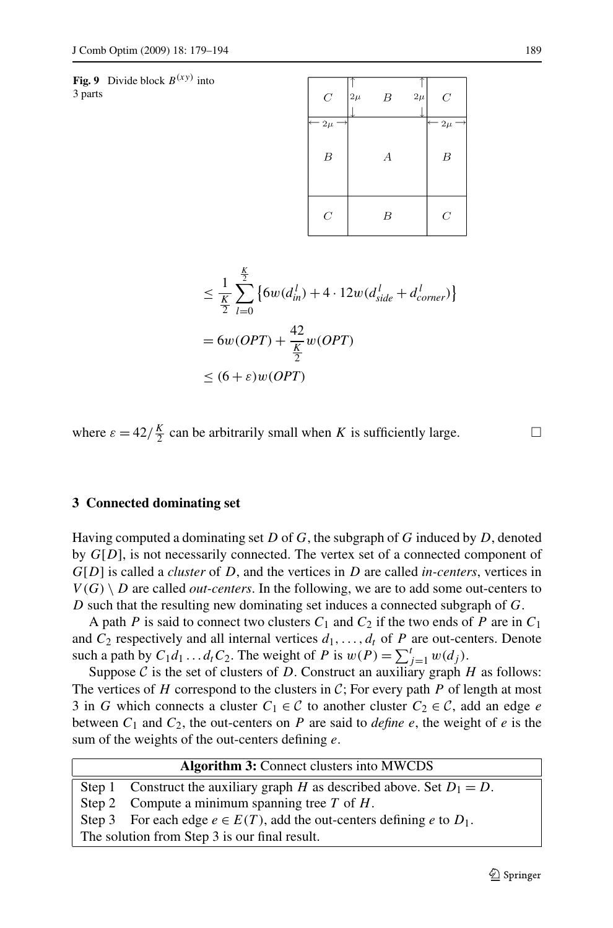<span id="page-10-0"></span>**Fig. 9** Divide block  $B^{(xy)}$  into 3 parts

| $\cal C$         | $2\mu$ | B | $2\mu$ | $\boldsymbol{C}$  |
|------------------|--------|---|--------|-------------------|
| $-2\mu$          |        |   |        | $\leftarrow 2\mu$ |
| $\boldsymbol{B}$ |        | А |        | $\boldsymbol{B}$  |
| $\overline{C}$   |        | В |        | $\overline{C}$    |

$$
\leq \frac{1}{\frac{K}{2}} \sum_{l=0}^{\frac{K}{2}} \left\{ 6w(d_{in}^l) + 4 \cdot 12w(d_{side}^l + d_{corner}^l) \right\}
$$

$$
= 6w(OPT) + \frac{42}{\frac{K}{2}}w(OPT)
$$

$$
\leq (6 + \varepsilon)w(OPT)
$$

where  $\varepsilon = 42/\frac{K}{2}$  can be arbitrarily small when *K* is sufficiently large.

#### **3 Connected dominating set**

Having computed a dominating set *D* of *G*, the subgraph of *G* induced by *D*, denoted by *G*[*D*], is not necessarily connected. The vertex set of a connected component of *G*[*D*] is called a *cluster* of *D*, and the vertices in *D* are called *in-centers*, vertices in  $V(G) \setminus D$  are called *out-centers*. In the following, we are to add some out-centers to *D* such that the resulting new dominating set induces a connected subgraph of *G*.

A path *P* is said to connect two clusters  $C_1$  and  $C_2$  if the two ends of *P* are in  $C_1$ and  $C_2$  respectively and all internal vertices  $d_1, \ldots, d_t$  of  $P$  are out-centers. Denote such a path by  $C_1d_1 \ldots d_tC_2$ . The weight of *P* is  $w(P) = \sum_{j=1}^t w(d_j)$ .

Suppose  $C$  is the set of clusters of  $D$ . Construct an auxiliary graph  $H$  as follows: The vertices of  $H$  correspond to the clusters in  $C$ ; For every path  $P$  of length at most 3 in *G* which connects a cluster  $C_1 \in \mathcal{C}$  to another cluster  $C_2 \in \mathcal{C}$ , add an edge *e* between  $C_1$  and  $C_2$ , the out-centers on  $P$  are said to *define*  $e$ , the weight of  $e$  is the sum of the weights of the out-centers defining *e*.

| <b>Algorithm 3:</b> Connect clusters into MWCDS |                                                                               |  |  |  |
|-------------------------------------------------|-------------------------------------------------------------------------------|--|--|--|
|                                                 | Step 1 Construct the auxiliary graph H as described above. Set $D_1 = D$ .    |  |  |  |
|                                                 | Step 2 Compute a minimum spanning tree $T$ of $H$ .                           |  |  |  |
|                                                 | Step 3 For each edge $e \in E(T)$ , add the out-centers defining e to $D_1$ . |  |  |  |
| The solution from Step 3 is our final result.   |                                                                               |  |  |  |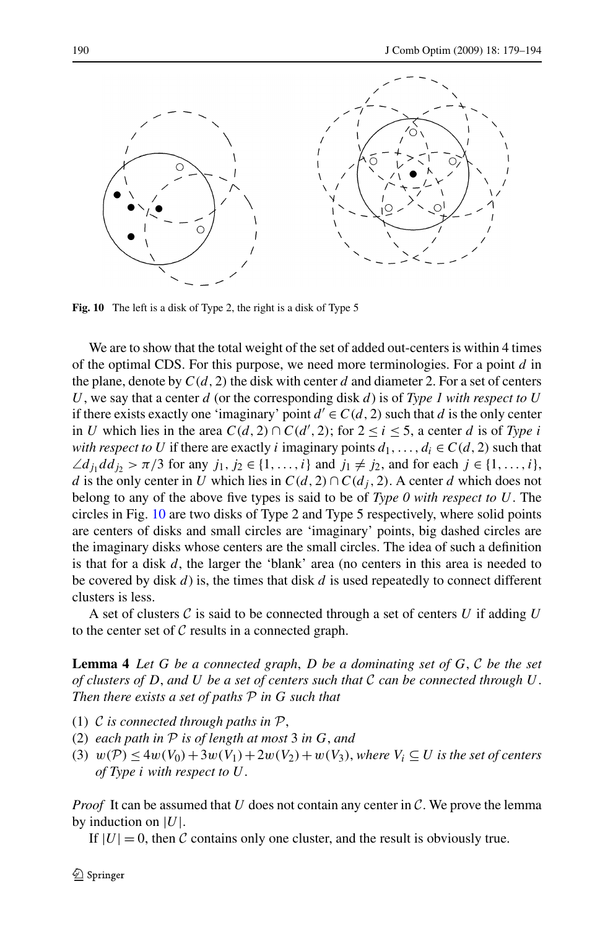<span id="page-11-0"></span>

**Fig. 10** The left is a disk of Type 2, the right is a disk of Type 5

We are to show that the total weight of the set of added out-centers is within 4 times of the optimal CDS. For this purpose, we need more terminologies. For a point *d* in the plane, denote by  $C(d, 2)$  the disk with center *d* and diameter 2. For a set of centers *U*, we say that a center *d* (or the corresponding disk *d*) is of *Type 1 with respect to U* if there exists exactly one 'imaginary' point  $d' \in C(d, 2)$  such that *d* is the only center in *U* which lies in the area  $C(d, 2) \cap C(d', 2)$ ; for  $2 \le i \le 5$ , a center *d* is of *Type i with respect to U* if there are exactly *i* imaginary points  $d_1, \ldots, d_i \in C(d, 2)$  such that  $\angle d_j \, d_j \rangle > \pi/3$  for any  $j_1, j_2 \in \{1, \ldots, i\}$  and  $j_1 \neq j_2$ , and for each  $j \in \{1, \ldots, i\}$ , *d* is the only center in *U* which lies in  $C(d, 2) \cap C(d_i, 2)$ . A center *d* which does not belong to any of the above five types is said to be of *Type 0 with respect to U*. The circles in Fig. 10 are two disks of Type 2 and Type 5 respectively, where solid points are centers of disks and small circles are 'imaginary' points, big dashed circles are the imaginary disks whose centers are the small circles. The idea of such a definition is that for a disk *d*, the larger the 'blank' area (no centers in this area is needed to be covered by disk *d*) is, the times that disk *d* is used repeatedly to connect different clusters is less.

A set of clusters  $\mathcal C$  is said to be connected through a set of centers  $U$  if adding  $U$ to the center set of  $C$  results in a connected graph.

**Lemma 4** *Let G be a connected graph*, *D be a dominating set of G*, C *be the set of clusters of D*, *and U be a set of centers such that* C *can be connected through U*. *Then there exists a set of paths* P *in G such that*

- (1) C *is connected through paths in* P,
- (2) *each path in* P *is of length at most* 3 *in G*, *and*
- (3)  $w(\mathcal{P}) \le 4w(V_0) + 3w(V_1) + 2w(V_2) + w(V_3)$ , where  $V_i \subseteq U$  is the set of centers *of Type i with respect to U*.

*Proof* It can be assumed that *U* does not contain any center in  $C$ . We prove the lemma by induction on |*U*|.

If  $|U| = 0$ , then C contains only one cluster, and the result is obviously true.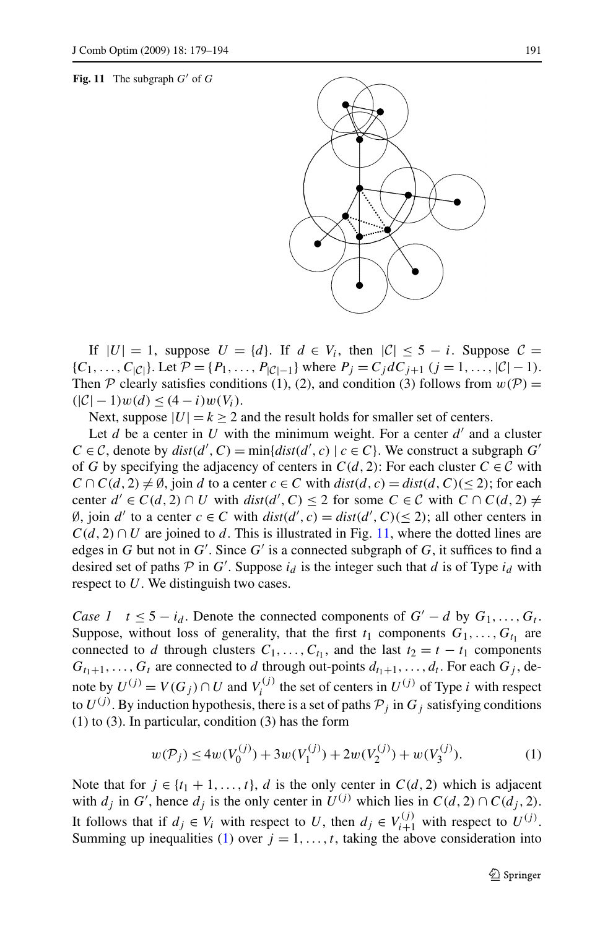#### **Fig. 11** The subgraph  $G'$  of  $G$



If  $|U| = 1$ , suppose  $U = \{d\}$ . If  $d \in V_i$ , then  $|C| \leq 5 - i$ . Suppose  $C =$ { $C_1, \ldots, C_{|\mathcal{C}|}$ }. Let  $\mathcal{P} = \{P_1, \ldots, P_{|\mathcal{C}|-1}\}$  where  $P_j = C_j dC_{j+1}$  ( $j = 1, \ldots, |\mathcal{C}|-1$ ). Then P clearly satisfies conditions (1), (2), and condition (3) follows from  $w(\mathcal{P}) =$  $(|\mathcal{C}| - 1)w(d) \leq (4 - i)w(V_i).$ 

Next, suppose  $|U| = k > 2$  and the result holds for smaller set of centers.

Let  $d$  be a center in  $U$  with the minimum weight. For a center  $d'$  and a cluster  $C \in \mathcal{C}$ , denote by  $dist(d', C) = min\{dist(d', c) \mid c \in C\}$ . We construct a subgraph  $G'$ of *G* by specifying the adjacency of centers in  $C(d, 2)$ : For each cluster  $C \in \mathcal{C}$  with  $C \cap C(d, 2) \neq \emptyset$ , join *d* to a center  $c \in C$  with  $dist(d, c) = dist(d, C)$ (< 2); for each center  $d' \in C(d, 2) \cap U$  with  $dist(d', C) \le 2$  for some  $C \in C$  with  $C \cap C(d, 2) \ne$ Ø, join *d'* to a center *c* ∈ *C* with  $dist(d', c) = dist(d', C)$ (≤ 2); all other centers in  $C(d, 2) \cap U$  are joined to *d*. This is illustrated in Fig. 11, where the dotted lines are edges in *G* but not in *G'*. Since *G'* is a connected subgraph of *G*, it suffices to find a desired set of paths  $P$  in  $G'$ . Suppose  $i_d$  is the integer such that  $d$  is of Type  $i_d$  with respect to *U*. We distinguish two cases.

*Case 1*  $t \leq 5 - i_d$ . Denote the connected components of  $G' - d$  by  $G_1, \ldots, G_t$ . Suppose, without loss of generality, that the first  $t_1$  components  $G_1, \ldots, G_{t_1}$  are connected to *d* through clusters  $C_1, \ldots, C_{t_1}$ , and the last  $t_2 = t - t_1$  components  $G_{t_1+1}, \ldots, G_t$  are connected to *d* through out-points  $d_{t_1+1}, \ldots, d_t$ . For each  $G_i$ , denote by  $U^{(j)} = V(G_j) \cap U$  and  $V_i^{(j)}$  the set of centers in  $U^{(j)}$  of Type *i* with respect to  $U^{(j)}$ . By induction hypothesis, there is a set of paths  $P_j$  in  $G_j$  satisfying conditions (1) to (3). In particular, condition (3) has the form

$$
w(\mathcal{P}_j) \le 4w(V_0^{(j)}) + 3w(V_1^{(j)}) + 2w(V_2^{(j)}) + w(V_3^{(j)}).
$$
 (1)

Note that for  $j \in \{t_1 + 1, \ldots, t\}$ , *d* is the only center in  $C(d, 2)$  which is adjacent with  $d_j$  in  $G'$ , hence  $d_j$  is the only center in  $U^{(j)}$  which lies in  $C(d, 2) \cap C(d_j, 2)$ . It follows that if  $d_j \in V_i$  with respect to *U*, then  $d_j \in V_{i+1}^{(j)}$  with respect to  $U^{(j)}$ . Summing up inequalities (1) over  $j = 1, \ldots, t$ , taking the above consideration into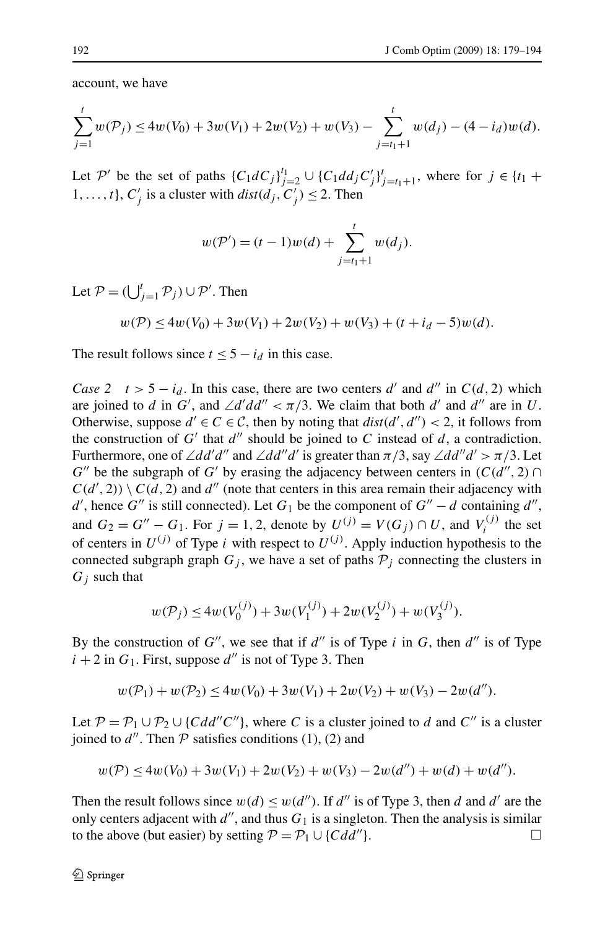account, we have

$$
\sum_{j=1}^{t} w(\mathcal{P}_j) \le 4w(V_0) + 3w(V_1) + 2w(V_2) + w(V_3) - \sum_{j=t_1+1}^{t} w(d_j) - (4 - i_d)w(d).
$$

Let P' be the set of paths  ${C_1 dC_j}_{j=2}^t \cup {C_1 d d_j C'_j}_{j=t_1+1}^t$ , where for  $j \in {t_1 + t_2}$ 1, ..., *t*},  $C'_{j}$  is a cluster with  $dist(d_j, C'_j) \leq 2$ . Then

$$
w(\mathcal{P}') = (t-1)w(d) + \sum_{j=t_1+1}^{t} w(d_j).
$$

Let  $P = (\bigcup_{j=1}^{t} P_j) \cup P'$ . Then

$$
w(\mathcal{P}) \le 4w(V_0) + 3w(V_1) + 2w(V_2) + w(V_3) + (t + i_d - 5)w(d).
$$

The result follows since  $t \leq 5 - i_d$  in this case.

*Case 2*  $t > 5 - i_d$ . In this case, there are two centers *d'* and *d''* in  $C(d, 2)$  which are joined to *d* in *G'*, and  $\angle d'dd'' < \pi/3$ . We claim that both *d'* and *d''* are in *U*. Otherwise, suppose  $d' \in C \in C$ , then by noting that  $dist(d', d'') < 2$ , it follows from the construction of  $G'$  that  $d''$  should be joined to  $C$  instead of  $d$ , a contradiction. Furthermore, one of  $\angle dd'd''$  and  $\angle dd''d'$  is greater than  $\pi/3$ , say  $\angle dd''d' > \pi/3$ . Let *G*<sup>*''*</sup> be the subgraph of *G'* by erasing the adjacency between centers in  $(C(d'', 2) \cap$  $C(d', 2)$ )  $\setminus C(d, 2)$  and *d''* (note that centers in this area remain their adjacency with *d*', hence *G*<sup>"</sup> is still connected). Let *G*<sub>1</sub> be the component of *G*<sup>"</sup> – *d* containing *d*<sup>"</sup>, and  $G_2 = G'' - G_1$ . For  $j = 1, 2$ , denote by  $U^{(j)} = V(G_j) \cap U$ , and  $V_i^{(j)}$  the set of centers in  $U^{(j)}$  of Type *i* with respect to  $U^{(j)}$ . Apply induction hypothesis to the connected subgraph graph  $G_j$ , we have a set of paths  $P_j$  connecting the clusters in *Gj* such that

$$
w(\mathcal{P}_j) \le 4w(V_0^{(j)}) + 3w(V_1^{(j)}) + 2w(V_2^{(j)}) + w(V_3^{(j)}).
$$

By the construction of  $G''$ , we see that if  $d''$  is of Type *i* in *G*, then  $d''$  is of Type  $i + 2$  in  $G_1$ . First, suppose  $d''$  is not of Type 3. Then

$$
w(\mathcal{P}_1) + w(\mathcal{P}_2) \le 4w(V_0) + 3w(V_1) + 2w(V_2) + w(V_3) - 2w(d'').
$$

Let  $P = P_1 \cup P_2 \cup \{Cdd''C''\}$ , where *C* is a cluster joined to *d* and *C''* is a cluster joined to  $d''$ . Then  $P$  satisfies conditions (1), (2) and

$$
w(\mathcal{P}) \le 4w(V_0) + 3w(V_1) + 2w(V_2) + w(V_3) - 2w(d'') + w(d) + w(d'').
$$

Then the result follows since  $w(d) \leq w(d'')$ . If *d'* is of Type 3, then *d* and *d'* are the only centers adjacent with  $d''$ , and thus  $G_1$  is a singleton. Then the analysis is similar to the above (but easier) by setting  $P = P_1 \cup \{Cdd''\}.$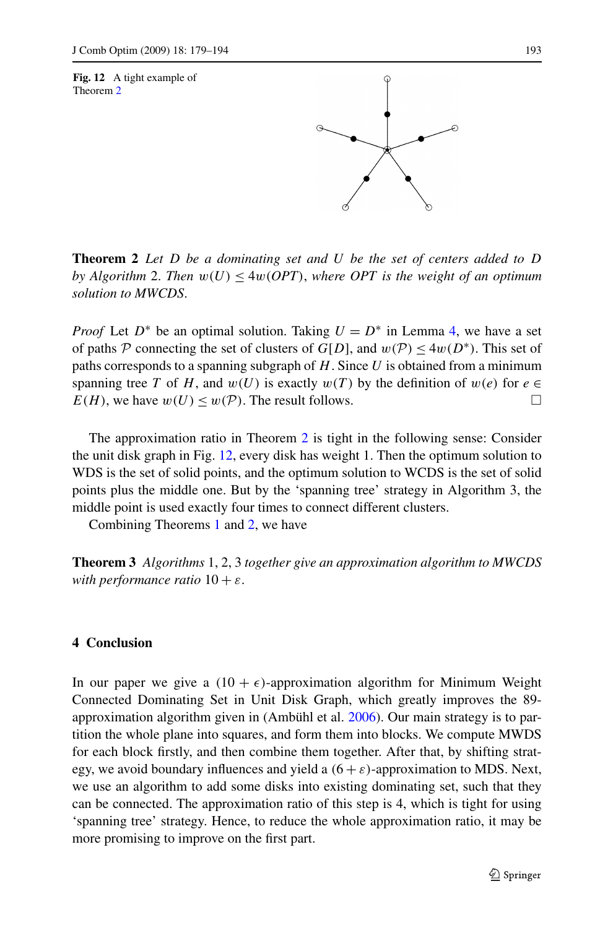<span id="page-14-0"></span>



**Theorem 2** *Let D be a dominating set and U be the set of centers added to D by Algorithm* 2. *Then*  $w(U) \leq 4w(OPT)$ , where OPT is the weight of an optimum *solution to MWCDS*.

*Proof* Let  $D^*$  be an optimal solution. Taking  $U = D^*$  in Lemma [4](#page-11-0), we have a set of paths P connecting the set of clusters of  $G[D]$ , and  $w(\mathcal{P}) \leq 4w(D^*)$ . This set of paths corresponds to a spanning subgraph of *H*. Since *U* is obtained from a minimum spanning tree *T* of *H*, and  $w(U)$  is exactly  $w(T)$  by the definition of  $w(e)$  for  $e \in$  $E(H)$ , we have  $w(U) \leq w(\mathcal{P})$ . The result follows.

The approximation ratio in Theorem 2 is tight in the following sense: Consider the unit disk graph in Fig. 12, every disk has weight 1. Then the optimum solution to WDS is the set of solid points, and the optimum solution to WCDS is the set of solid points plus the middle one. But by the 'spanning tree' strategy in Algorithm 3, the middle point is used exactly four times to connect different clusters.

Combining Theorems [1](#page-8-0) and 2, we have

**Theorem 3** *Algorithms* 1, 2, 3 *together give an approximation algorithm to MWCDS with performance ratio*  $10 + \varepsilon$ .

# **4 Conclusion**

In our paper we give a  $(10 + \epsilon)$ -approximation algorithm for Minimum Weight Connected Dominating Set in Unit Disk Graph, which greatly improves the 89 approximation algorithm given in (Ambühl et al. [2006\)](#page-15-0). Our main strategy is to partition the whole plane into squares, and form them into blocks. We compute MWDS for each block firstly, and then combine them together. After that, by shifting strategy, we avoid boundary influences and yield a  $(6 + \varepsilon)$ -approximation to MDS. Next, we use an algorithm to add some disks into existing dominating set, such that they can be connected. The approximation ratio of this step is 4, which is tight for using 'spanning tree' strategy. Hence, to reduce the whole approximation ratio, it may be more promising to improve on the first part.